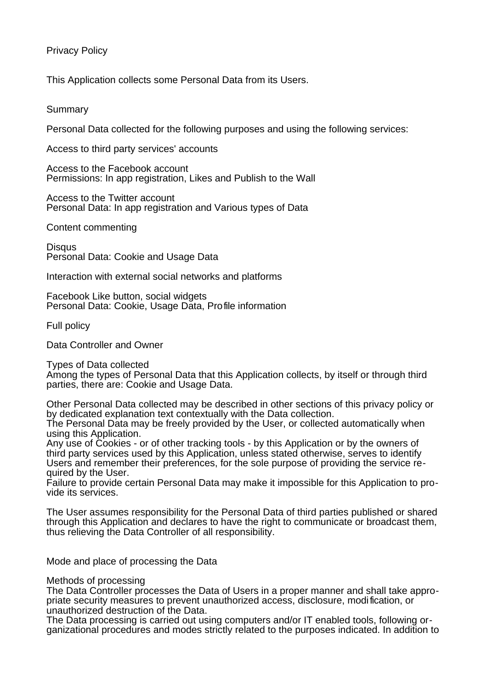# Privacy Policy

This Application collects some Personal Data from its Users.

Summary

Personal Data collected for the following purposes and using the following services:

Access to third party services' accounts

Access to the Facebook account Permissions: In app registration, Likes and Publish to the Wall

Access to the Twitter account Personal Data: In app registration and Various types of Data

Content commenting

**Disqus** Personal Data: Cookie and Usage Data

Interaction with external social networks and platforms

Facebook Like button, social widgets Personal Data: Cookie, Usage Data, Profile information

Full policy

Data Controller and Owner

Types of Data collected

Among the types of Personal Data that this Application collects, by itself or through third parties, there are: Cookie and Usage Data.

Other Personal Data collected may be described in other sections of this privacy policy or by dedicated explanation text contextually with the Data collection.

The Personal Data may be freely provided by the User, or collected automatically when using this Application.

Any use of Cookies - or of other tracking tools - by this Application or by the owners of third party services used by this Application, unless stated otherwise, serves to identify Users and remember their preferences, for the sole purpose of providing the service required by the User.

Failure to provide certain Personal Data may make it impossible for this Application to provide its services.

The User assumes responsibility for the Personal Data of third parties published or shared through this Application and declares to have the right to communicate or broadcast them, thus relieving the Data Controller of all responsibility.

Mode and place of processing the Data

Methods of processing

The Data Controller processes the Data of Users in a proper manner and shall take appropriate security measures to prevent unauthorized access, disclosure, modification, or unauthorized destruction of the Data.

The Data processing is carried out using computers and/or IT enabled tools, following organizational procedures and modes strictly related to the purposes indicated. In addition to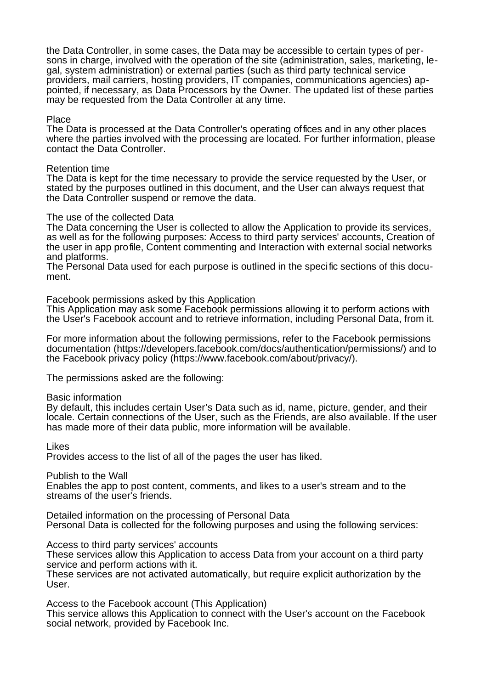the Data Controller, in some cases, the Data may be accessible to certain types of persons in charge, involved with the operation of the site (administration, sales, marketing, legal, system administration) or external parties (such as third party technical service providers, mail carriers, hosting providers, IT companies, communications agencies) appointed, if necessary, as Data Processors by the Owner. The updated list of these parties may be requested from the Data Controller at any time.

### Place

The Data is processed at the Data Controller's operating offices and in any other places where the parties involved with the processing are located. For further information, please contact the Data Controller.

# Retention time

The Data is kept for the time necessary to provide the service requested by the User, or stated by the purposes outlined in this document, and the User can always request that the Data Controller suspend or remove the data.

# The use of the collected Data

The Data concerning the User is collected to allow the Application to provide its services, as well as for the following purposes: Access to third party services' accounts, Creation of the user in app profile, Content commenting and Interaction with external social networks and platforms.

The Personal Data used for each purpose is outlined in the specific sections of this document.

Facebook permissions asked by this Application

This Application may ask some Facebook permissions allowing it to perform actions with the User's Facebook account and to retrieve information, including Personal Data, from it.

For more information about the following permissions, refer to the Facebook permissions documentation (https://developers.facebook.com/docs/authentication/permissions/) and to the Facebook privacy policy (https://www.facebook.com/about/privacy/).

The permissions asked are the following:

### Basic information

By default, this includes certain User's Data such as id, name, picture, gender, and their locale. Certain connections of the User, such as the Friends, are also available. If the user has made more of their data public, more information will be available.

Likes

Provides access to the list of all of the pages the user has liked.

Publish to the Wall

Enables the app to post content, comments, and likes to a user's stream and to the streams of the user's friends.

Detailed information on the processing of Personal Data Personal Data is collected for the following purposes and using the following services:

Access to third party services' accounts

These services allow this Application to access Data from your account on a third party service and perform actions with it.

These services are not activated automatically, but require explicit authorization by the User.

Access to the Facebook account (This Application) This service allows this Application to connect with the User's account on the Facebook social network, provided by Facebook Inc.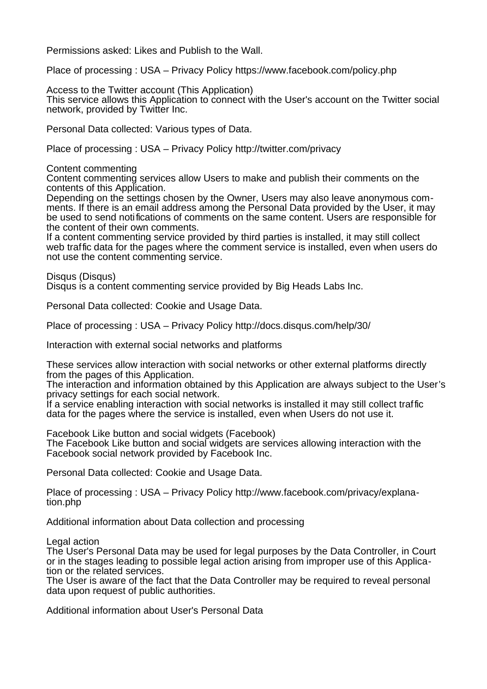Permissions asked: Likes and Publish to the Wall.

Place of processing : USA – Privacy Policy https://www.facebook.com/policy.php

Access to the Twitter account (This Application) This service allows this Application to connect with the User's account on the Twitter social network, provided by Twitter Inc.

Personal Data collected: Various types of Data.

Place of processing : USA – Privacy Policy http://twitter.com/privacy

Content commenting

Content commenting services allow Users to make and publish their comments on the contents of this Application.

Depending on the settings chosen by the Owner, Users may also leave anonymous comments. If there is an email address among the Personal Data provided by the User, it may be used to send notifications of comments on the same content. Users are responsible for the content of their own comments.

If a content commenting service provided by third parties is installed, it may still collect web traffic data for the pages where the comment service is installed, even when users do not use the content commenting service.

Disqus (Disqus)

Disqus is a content commenting service provided by Big Heads Labs Inc.

Personal Data collected: Cookie and Usage Data.

Place of processing : USA – Privacy Policy http://docs.disqus.com/help/30/

Interaction with external social networks and platforms

These services allow interaction with social networks or other external platforms directly from the pages of this Application.

The interaction and information obtained by this Application are always subject to the User's privacy settings for each social network.

If a service enabling interaction with social networks is installed it may still collect traffic data for the pages where the service is installed, even when Users do not use it.

Facebook Like button and social widgets (Facebook)

The Facebook Like button and social widgets are services allowing interaction with the Facebook social network provided by Facebook Inc.

Personal Data collected: Cookie and Usage Data.

Place of processing : USA – Privacy Policy http://www.facebook.com/privacy/explanation.php

Additional information about Data collection and processing

Legal action

The User's Personal Data may be used for legal purposes by the Data Controller, in Court or in the stages leading to possible legal action arising from improper use of this Application or the related services.

The User is aware of the fact that the Data Controller may be required to reveal personal data upon request of public authorities.

Additional information about User's Personal Data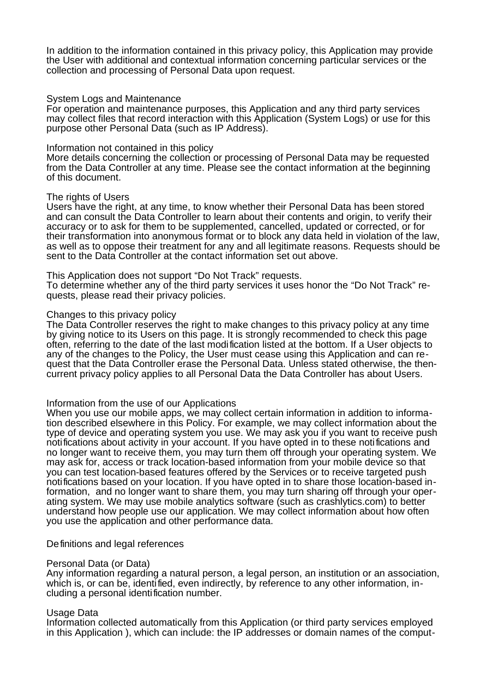In addition to the information contained in this privacy policy, this Application may provide the User with additional and contextual information concerning particular services or the collection and processing of Personal Data upon request.

#### System Logs and Maintenance

For operation and maintenance purposes, this Application and any third party services may collect files that record interaction with this Application (System Logs) or use for this purpose other Personal Data (such as IP Address).

#### Information not contained in this policy

More details concerning the collection or processing of Personal Data may be requested from the Data Controller at any time. Please see the contact information at the beginning of this document.

#### The rights of Users

Users have the right, at any time, to know whether their Personal Data has been stored and can consult the Data Controller to learn about their contents and origin, to verify their accuracy or to ask for them to be supplemented, cancelled, updated or corrected, or for their transformation into anonymous format or to block any data held in violation of the law, as well as to oppose their treatment for any and all legitimate reasons. Requests should be sent to the Data Controller at the contact information set out above.

#### This Application does not support "Do Not Track" requests.

To determine whether any of the third party services it uses honor the "Do Not Track" requests, please read their privacy policies.

#### Changes to this privacy policy

The Data Controller reserves the right to make changes to this privacy policy at any time by giving notice to its Users on this page. It is strongly recommended to check this page often, referring to the date of the last modification listed at the bottom. If a User objects to any of the changes to the Policy, the User must cease using this Application and can request that the Data Controller erase the Personal Data. Unless stated otherwise, the thencurrent privacy policy applies to all Personal Data the Data Controller has about Users.

### Information from the use of our Applications

When you use our mobile apps, we may collect certain information in addition to information described elsewhere in this Policy. For example, we may collect information about the type of device and operating system you use. We may ask you if you want to receive push notifications about activity in your account. If you have opted in to these notifications and no longer want to receive them, you may turn them off through your operating system. We may ask for, access or track location-based information from your mobile device so that you can test location-based features offered by the Services or to receive targeted push notifications based on your location. If you have opted in to share those location-based information, and no longer want to share them, you may turn sharing off through your operating system. We may use mobile analytics software (such as crashlytics.com) to better understand how people use our application. We may collect information about how often you use the application and other performance data.

### Definitions and legal references

### Personal Data (or Data)

Any information regarding a natural person, a legal person, an institution or an association, which is, or can be, identified, even indirectly, by reference to any other information, including a personal identification number.

### Usage Data

Information collected automatically from this Application (or third party services employed in this Application ), which can include: the IP addresses or domain names of the comput-